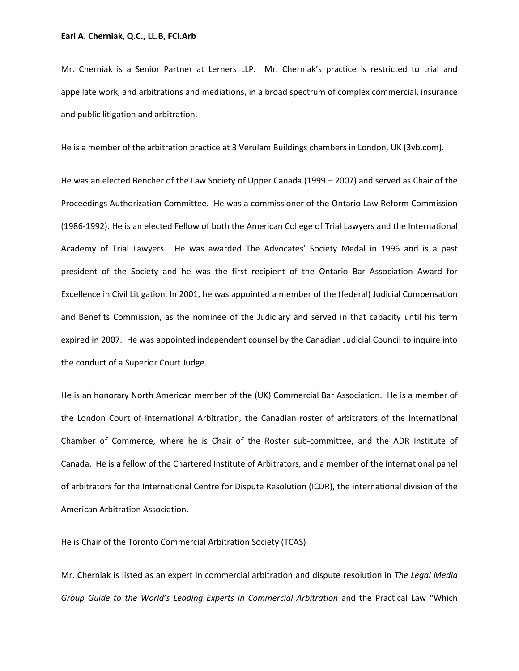Mr. Cherniak is a Senior Partner at Lerners LLP. Mr. Cherniak's practice is restricted to trial and appellate work, and arbitrations and mediations, in a broad spectrum of complex commercial, insurance and public litigation and arbitration.

He is a member of the arbitration practice at 3 Verulam Buildings chambers in London, UK (3vb.com).

He was an elected Bencher of the Law Society of Upper Canada (1999 – 2007) and served as Chair of the Proceedings Authorization Committee. He was a commissioner of the Ontario Law Reform Commission (1986-1992). He is an elected Fellow of both the American College of Trial Lawyers and the International Academy of Trial Lawyers. He was awarded The Advocates' Society Medal in 1996 and is a past president of the Society and he was the first recipient of the Ontario Bar Association Award for Excellence in Civil Litigation. In 2001, he was appointed a member of the (federal) Judicial Compensation and Benefits Commission, as the nominee of the Judiciary and served in that capacity until his term expired in 2007. He was appointed independent counsel by the Canadian Judicial Council to inquire into the conduct of a Superior Court Judge.

He is an honorary North American member of the (UK) Commercial Bar Association. He is a member of the London Court of International Arbitration, the Canadian roster of arbitrators of the International Chamber of Commerce, where he is Chair of the Roster sub-committee, and the ADR Institute of Canada. He is a fellow of the Chartered Institute of Arbitrators, and a member of the international panel of arbitrators for the International Centre for Dispute Resolution (ICDR), the international division of the American Arbitration Association.

He is Chair of the Toronto Commercial Arbitration Society (TCAS)

Mr. Cherniak is listed as an expert in commercial arbitration and dispute resolution in *The Legal Media Group Guide to the World's Leading Experts in Commercial Arbitration* and the Practical Law "Which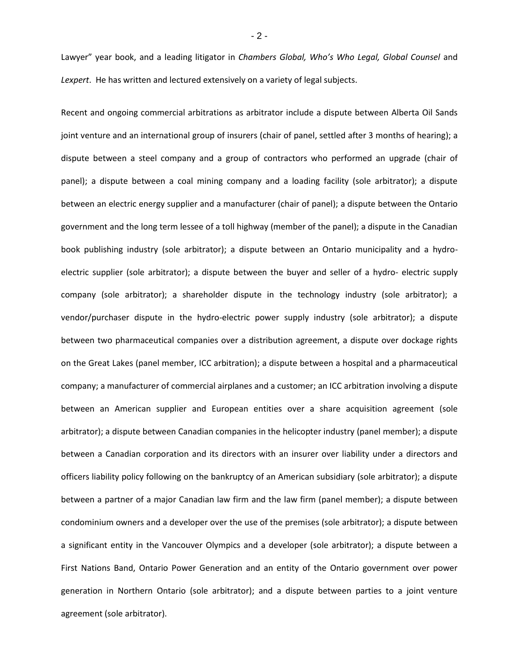Lawyer" year book, and a leading litigator in *Chambers Global, Who's Who Legal, Global Counsel* and *Lexpert*. He has written and lectured extensively on a variety of legal subjects.

Recent and ongoing commercial arbitrations as arbitrator include a dispute between Alberta Oil Sands joint venture and an international group of insurers (chair of panel, settled after 3 months of hearing); a dispute between a steel company and a group of contractors who performed an upgrade (chair of panel); a dispute between a coal mining company and a loading facility (sole arbitrator); a dispute between an electric energy supplier and a manufacturer (chair of panel); a dispute between the Ontario government and the long term lessee of a toll highway (member of the panel); a dispute in the Canadian book publishing industry (sole arbitrator); a dispute between an Ontario municipality and a hydroelectric supplier (sole arbitrator); a dispute between the buyer and seller of a hydro- electric supply company (sole arbitrator); a shareholder dispute in the technology industry (sole arbitrator); a vendor/purchaser dispute in the hydro-electric power supply industry (sole arbitrator); a dispute between two pharmaceutical companies over a distribution agreement, a dispute over dockage rights on the Great Lakes (panel member, ICC arbitration); a dispute between a hospital and a pharmaceutical company; a manufacturer of commercial airplanes and a customer; an ICC arbitration involving a dispute between an American supplier and European entities over a share acquisition agreement (sole arbitrator); a dispute between Canadian companies in the helicopter industry (panel member); a dispute between a Canadian corporation and its directors with an insurer over liability under a directors and officers liability policy following on the bankruptcy of an American subsidiary (sole arbitrator); a dispute between a partner of a major Canadian law firm and the law firm (panel member); a dispute between condominium owners and a developer over the use of the premises (sole arbitrator); a dispute between a significant entity in the Vancouver Olympics and a developer (sole arbitrator); a dispute between a First Nations Band, Ontario Power Generation and an entity of the Ontario government over power generation in Northern Ontario (sole arbitrator); and a dispute between parties to a joint venture agreement (sole arbitrator).